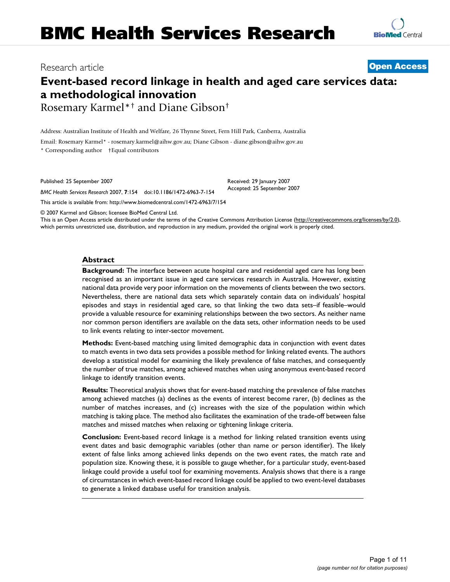# **[BioMed](http://www.biomedcentral.com/)** Central

# Research article **[Open Access](http://www.biomedcentral.com/info/about/charter/)**

# **Event-based record linkage in health and aged care services data: a methodological innovation** Rosemary Karmel\*† and Diane Gibson†

Address: Australian Institute of Health and Welfare, 26 Thynne Street, Fern Hill Park, Canberra, Australia

Email: Rosemary Karmel\* - rosemary.karmel@aihw.gov.au; Diane Gibson - diane.gibson@aihw.gov.au

\* Corresponding author †Equal contributors

Published: 25 September 2007

Received: 29 January 2007 Accepted: 25 September 2007

[This article is available from: http://www.biomedcentral.com/1472-6963/7/154](http://www.biomedcentral.com/1472-6963/7/154)

*BMC Health Services Research* 2007, **7**:154 doi:10.1186/1472-6963-7-154

© 2007 Karmel and Gibson; licensee BioMed Central Ltd.

This is an Open Access article distributed under the terms of the Creative Commons Attribution License [\(http://creativecommons.org/licenses/by/2.0\)](http://creativecommons.org/licenses/by/2.0), which permits unrestricted use, distribution, and reproduction in any medium, provided the original work is properly cited.

# **Abstract**

**Background:** The interface between acute hospital care and residential aged care has long been recognised as an important issue in aged care services research in Australia. However, existing national data provide very poor information on the movements of clients between the two sectors. Nevertheless, there are national data sets which separately contain data on individuals' hospital episodes and stays in residential aged care, so that linking the two data sets–if feasible–would provide a valuable resource for examining relationships between the two sectors. As neither name nor common person identifiers are available on the data sets, other information needs to be used to link events relating to inter-sector movement.

**Methods:** Event-based matching using limited demographic data in conjunction with event dates to match events in two data sets provides a possible method for linking related events. The authors develop a statistical model for examining the likely prevalence of false matches, and consequently the number of true matches, among achieved matches when using anonymous event-based record linkage to identify transition events.

**Results:** Theoretical analysis shows that for event-based matching the prevalence of false matches among achieved matches (a) declines as the events of interest become rarer, (b) declines as the number of matches increases, and (c) increases with the size of the population within which matching is taking place. The method also facilitates the examination of the trade-off between false matches and missed matches when relaxing or tightening linkage criteria.

**Conclusion:** Event-based record linkage is a method for linking related transition events using event dates and basic demographic variables (other than name or person identifier). The likely extent of false links among achieved links depends on the two event rates, the match rate and population size. Knowing these, it is possible to gauge whether, for a particular study, event-based linkage could provide a useful tool for examining movements. Analysis shows that there is a range of circumstances in which event-based record linkage could be applied to two event-level databases to generate a linked database useful for transition analysis.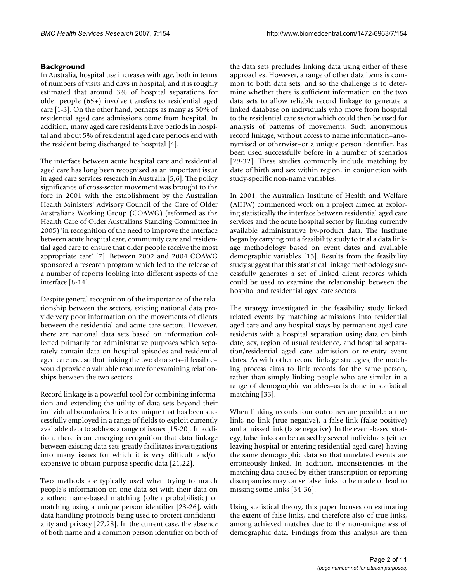# **Background**

In Australia, hospital use increases with age, both in terms of numbers of visits and days in hospital, and it is roughly estimated that around 3% of hospital separations for older people (65+) involve transfers to residential aged care [1-3]. On the other hand, perhaps as many as 50% of residential aged care admissions come from hospital. In addition, many aged care residents have periods in hospital and about 5% of residential aged care periods end with the resident being discharged to hospital [4].

The interface between acute hospital care and residential aged care has long been recognised as an important issue in aged care services research in Australia [5,6]. The policy significance of cross-sector movement was brought to the fore in 2001 with the establishment by the Australian Health Ministers' Advisory Council of the Care of Older Australians Working Group (COAWG) (reformed as the Health Care of Older Australians Standing Committee in 2005) 'in recognition of the need to improve the interface between acute hospital care, community care and residential aged care to ensure that older people receive the most appropriate care' [7]. Between 2002 and 2004 COAWG sponsored a research program which led to the release of a number of reports looking into different aspects of the interface [8-14].

Despite general recognition of the importance of the relationship between the sectors, existing national data provide very poor information on the movements of clients between the residential and acute care sectors. However, there are national data sets based on information collected primarily for administrative purposes which separately contain data on hospital episodes and residential aged care use, so that linking the two data sets–if feasible– would provide a valuable resource for examining relationships between the two sectors.

Record linkage is a powerful tool for combining information and extending the utility of data sets beyond their individual boundaries. It is a technique that has been successfully employed in a range of fields to exploit currently available data to address a range of issues [15-20]. In addition, there is an emerging recognition that data linkage between existing data sets greatly facilitates investigations into many issues for which it is very difficult and/or expensive to obtain purpose-specific data [21,22].

Two methods are typically used when trying to match people's information on one data set with their data on another: name-based matching (often probabilistic) or matching using a unique person identifier [23-26], with data handling protocols being used to protect confidentiality and privacy [27,28]. In the current case, the absence of both name and a common person identifier on both of the data sets precludes linking data using either of these approaches. However, a range of other data items is common to both data sets, and so the challenge is to determine whether there is sufficient information on the two data sets to allow reliable record linkage to generate a linked database on individuals who move from hospital to the residential care sector which could then be used for analysis of patterns of movements. Such anonymous record linkage, without access to name information–anonymised or otherwise–or a unique person identifier, has been used successfully before in a number of scenarios [29-32]. These studies commonly include matching by date of birth and sex within region, in conjunction with study-specific non-name variables.

In 2001, the Australian Institute of Health and Welfare (AIHW) commenced work on a project aimed at exploring statistically the interface between residential aged care services and the acute hospital sector by linking currently available administrative by-product data. The Institute began by carrying out a feasibility study to trial a data linkage methodology based on event dates and available demographic variables [13]. Results from the feasibility study suggest that this statistical linkage methodology successfully generates a set of linked client records which could be used to examine the relationship between the hospital and residential aged care sectors.

The strategy investigated in the feasibility study linked related events by matching admissions into residential aged care and any hospital stays by permanent aged care residents with a hospital separation using data on birth date, sex, region of usual residence, and hospital separation/residential aged care admission or re-entry event dates. As with other record linkage strategies, the matching process aims to link records for the same person, rather than simply linking people who are similar in a range of demographic variables–as is done in statistical matching [33].

When linking records four outcomes are possible: a true link, no link (true negative), a false link (false positive) and a missed link (false negative). In the event-based strategy, false links can be caused by several individuals (either leaving hospital or entering residential aged care) having the same demographic data so that unrelated events are erroneously linked. In addition, inconsistencies in the matching data caused by either transcription or reporting discrepancies may cause false links to be made or lead to missing some links [34-36].

Using statistical theory, this paper focuses on estimating the extent of false links, and therefore also of true links, among achieved matches due to the non-uniqueness of demographic data. Findings from this analysis are then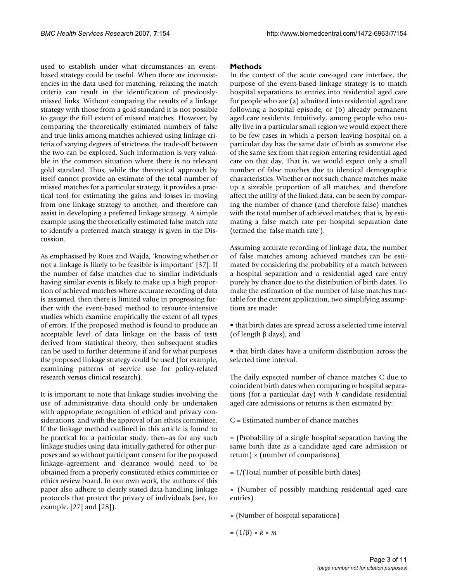used to establish under what circumstances an eventbased strategy could be useful. When there are inconsistencies in the data used for matching, relaxing the match criteria can result in the identification of previouslymissed links. Without comparing the results of a linkage strategy with those from a gold standard it is not possible to gauge the full extent of missed matches. However, by comparing the theoretically estimated numbers of false and true links among matches achieved using linkage criteria of varying degrees of strictness the trade-off between the two can be explored. Such information is very valuable in the common situation where there is no relevant gold standard. Thus, while the theoretical approach by itself cannot provide an estimate of the total number of missed matches for a particular strategy, it provides a practical tool for estimating the gains and losses in moving from one linkage strategy to another, and therefore can assist in developing a preferred linkage strategy. A simple example using the theoretically estimated false match rate to identify a preferred match strategy is given in the Discussion.

As emphasised by Roos and Wajda, 'knowing whether or not a linkage is likely to be feasible is important' [37]. If the number of false matches due to similar individuals having similar events is likely to make up a high proportion of achieved matches where accurate recording of data is assumed, then there is limited value in progressing further with the event-based method to resource-intensive studies which examine empirically the extent of all types of errors. If the proposed method is found to produce an acceptable level of data linkage on the basis of tests derived from statistical theory, then subsequent studies can be used to further determine if and for what purposes the proposed linkage strategy could be used (for example, examining patterns of service use for policy-related research versus clinical research).

It is important to note that linkage studies involving the use of administrative data should only be undertaken with appropriate recognition of ethical and privacy considerations, and with the approval of an ethics committee. If the linkage method outlined in this article is found to be practical for a particular study, then–as for any such linkage studies using data initially gathered for other purposes and so without participant consent for the proposed linkage–agreement and clearance would need to be obtained from a properly constituted ethics committee or ethics review board. In our own work, the authors of this paper also adhere to clearly stated data-handling linkage protocols that protect the privacy of individuals (see, for example, [27] and [28]).

# **Methods**

In the context of the acute care-aged care interface, the purpose of the event-based linkage strategy is to match hospital separations to entries into residential aged care for people who are (a) admitted into residential aged care following a hospital episode, or (b) already permanent aged care residents. Intuitively, among people who usually live in a particular small region we would expect there to be few cases in which a person leaving hospital on a particular day has the same date of birth as someone else of the same sex from that region entering residential aged care on that day. That is, we would expect only a small number of false matches due to identical demographic characteristics. Whether or not such chance matches make up a sizeable proportion of all matches, and therefore affect the utility of the linked data, can be seen by comparing the number of chance (and therefore false) matches with the total number of achieved matches; that is, by estimating a false match rate per hospital separation date (termed the 'false match rate').

Assuming accurate recording of linkage data, the number of false matches among achieved matches can be estimated by considering the probability of a match between a hospital separation and a residential aged care entry purely by chance due to the distribution of birth dates. To make the estimation of the number of false matches tractable for the current application, two simplifying assumptions are made:

- that birth dates are spread across a selected time interval (of length  $\beta$  days), and
- that birth dates have a uniform distribution across the selected time interval.

The daily expected number of chance matches C due to coincident birth dates when comparing *m* hospital separations (for a particular day) with *k* candidate residential aged care admissions or returns is then estimated by:

C = Estimated number of chance matches

= (Probability of a single hospital separation having the same birth date as a candidate aged care admission or return) × (number of comparisons)

= 1/(Total number of possible birth dates)

× (Number of possibly matching residential aged care entries)

× (Number of hospital separations)

 $= (1/\beta) \times k \times m$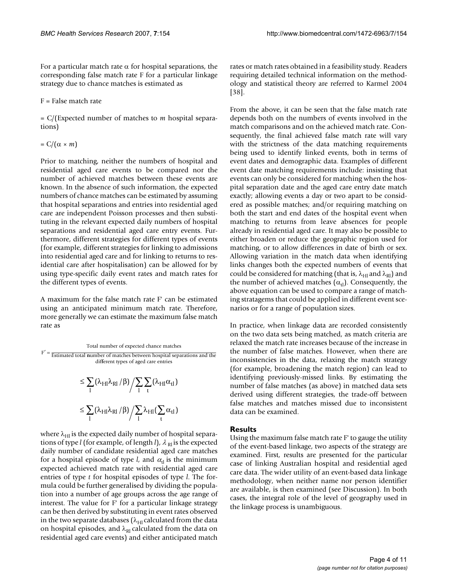For a particular match rate  $\alpha$  for hospital separations, the corresponding false match rate F for a particular linkage strategy due to chance matches is estimated as

F = False match rate

= C/(Expected number of matches to *m* hospital separations)

 $= C/(\alpha \times m)$ 

Prior to matching, neither the numbers of hospital and residential aged care events to be compared nor the number of achieved matches between these events are known. In the absence of such information, the expected numbers of chance matches can be estimated by assuming that hospital separations and entries into residential aged care are independent Poisson processes and then substituting in the relevant expected daily numbers of hospital separations and residential aged care entry events. Furthermore, different strategies for different types of events (for example, different strategies for linking to admissions into residential aged care and for linking to returns to residential care after hospitalisation) can be allowed for by using type-specific daily event rates and match rates for the different types of events.

A maximum for the false match rate F' can be estimated using an anticipated minimum match rate. Therefore, more generally we can estimate the maximum false match rate as

 $F' = \frac{F'}{\text{Estimated total number of matches between hospital separations and the}}$ Total number of expected chance matches

different types of aged care entries

$$
\leq \sum_{l} (\lambda_{Hl} \lambda_{Rl} / \beta) / \sum_{l} \sum_{t} (\lambda_{Hl} \alpha_{tl})
$$
  

$$
\leq \sum_{l} (\lambda_{Hl} \lambda_{Rl} / \beta) / \sum_{l} \lambda_{Hl} (\sum_{t} \alpha_{tl})
$$

where  $\lambda_{\text{H}}$  is the expected daily number of hospital separations of type *l* (for example, of length *l*),  $\lambda_{\text{Rl}}$  is the expected daily number of candidate residential aged care matches for a hospital episode of type *l*, and  $\alpha_d$  is the minimum expected achieved match rate with residential aged care entries of type *t* for hospital episodes of type *l*. The formula could be further generalised by dividing the population into a number of age groups across the age range of interest. The value for F' for a particular linkage strategy can be then derived by substituting in event rates observed in the two separate databases ( $\lambda_{\text{HI}}$  calculated from the data on hospital episodes, and  $\lambda_{\text{RI}}$  calculated from the data on residential aged care events) and either anticipated match rates or match rates obtained in a feasibility study. Readers requiring detailed technical information on the methodology and statistical theory are referred to Karmel 2004 [38].

From the above, it can be seen that the false match rate depends both on the numbers of events involved in the match comparisons and on the achieved match rate. Consequently, the final achieved false match rate will vary with the strictness of the data matching requirements being used to identify linked events, both in terms of event dates and demographic data. Examples of different event date matching requirements include: insisting that events can only be considered for matching when the hospital separation date and the aged care entry date match exactly; allowing events a day or two apart to be considered as possible matches; and/or requiring matching on both the start and end dates of the hospital event when matching to returns from leave absences for people already in residential aged care. It may also be possible to either broaden or reduce the geographic region used for matching, or to allow differences in date of birth or sex. Allowing variation in the match data when identifying links changes both the expected numbers of events that could be considered for matching (that is,  $\lambda_{\text{H}}$  and  $\lambda_{\text{R}}$ ) and the number of achieved matches  $(\alpha_{t})$ . Consequently, the above equation can be used to compare a range of matching stratagems that could be applied in different event scenarios or for a range of population sizes.

In practice, when linkage data are recorded consistently on the two data sets being matched, as match criteria are relaxed the match rate increases because of the increase in the number of false matches. However, when there are inconsistencies in the data, relaxing the match strategy (for example, broadening the match region) can lead to identifying previously-missed links. By estimating the number of false matches (as above) in matched data sets derived using different strategies, the trade-off between false matches and matches missed due to inconsistent data can be examined.

# **Results**

Using the maximum false match rate F' to gauge the utility of the event-based linkage, two aspects of the strategy are examined. First, results are presented for the particular case of linking Australian hospital and residential aged care data. The wider utility of an event-based data linkage methodology, when neither name nor person identifier are available, is then examined (see Discussion). In both cases, the integral role of the level of geography used in the linkage process is unambiguous.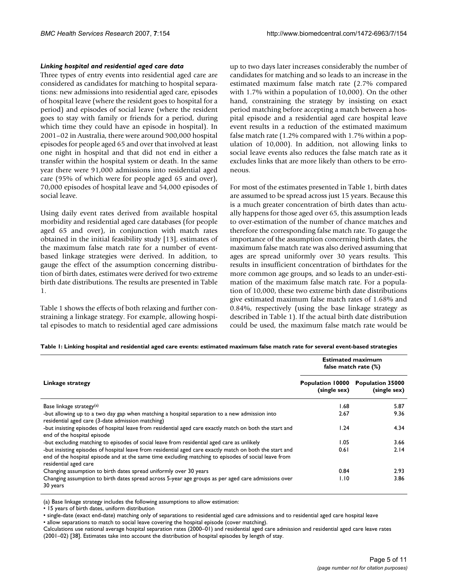#### *Linking hospital and residential aged care data*

Three types of entry events into residential aged care are considered as candidates for matching to hospital separations: new admissions into residential aged care, episodes of hospital leave (where the resident goes to hospital for a period) and episodes of social leave (where the resident goes to stay with family or friends for a period, during which time they could have an episode in hospital). In 2001–02 in Australia, there were around 900,000 hospital episodes for people aged 65 and over that involved at least one night in hospital and that did not end in either a transfer within the hospital system or death. In the same year there were 91,000 admissions into residential aged care (95% of which were for people aged 65 and over), 70,000 episodes of hospital leave and 54,000 episodes of social leave.

Using daily event rates derived from available hospital morbidity and residential aged care databases (for people aged 65 and over), in conjunction with match rates obtained in the initial feasibility study [13], estimates of the maximum false match rate for a number of eventbased linkage strategies were derived. In addition, to gauge the effect of the assumption concerning distribution of birth dates, estimates were derived for two extreme birth date distributions. The results are presented in Table 1.

Table 1 shows the effects of both relaxing and further constraining a linkage strategy. For example, allowing hospital episodes to match to residential aged care admissions up to two days later increases considerably the number of candidates for matching and so leads to an increase in the estimated maximum false match rate (2.7% compared with 1.7% within a population of 10,000). On the other hand, constraining the strategy by insisting on exact period matching before accepting a match between a hospital episode and a residential aged care hospital leave event results in a reduction of the estimated maximum false match rate (1.2% compared with 1.7% within a population of 10,000). In addition, not allowing links to social leave events also reduces the false match rate as it excludes links that are more likely than others to be erroneous.

For most of the estimates presented in Table 1, birth dates are assumed to be spread across just 15 years. Because this is a much greater concentration of birth dates than actually happens for those aged over 65, this assumption leads to over-estimation of the number of chance matches and therefore the corresponding false match rate. To gauge the importance of the assumption concerning birth dates, the maximum false match rate was also derived assuming that ages are spread uniformly over 30 years results. This results in insufficient concentration of birthdates for the more common age groups, and so leads to an under-estimation of the maximum false match rate. For a population of 10,000, these two extreme birth date distributions give estimated maximum false match rates of 1.68% and 0.84%, respectively (using the base linkage strategy as described in Table 1). If the actual birth date distribution could be used, the maximum false match rate would be

**Table 1: Linking hospital and residential aged care events: estimated maximum false match rate for several event-based strategies**

|                                                                                                                                                                                                                                           | <b>Estimated maximum</b><br>false match rate (%) |                                         |
|-------------------------------------------------------------------------------------------------------------------------------------------------------------------------------------------------------------------------------------------|--------------------------------------------------|-----------------------------------------|
| Linkage strategy                                                                                                                                                                                                                          | Population 10000<br>(single sex)                 | <b>Population 35000</b><br>(single sex) |
| Base linkage strategy <sup>(a)</sup>                                                                                                                                                                                                      | 1.68                                             | 5.87                                    |
| -but allowing up to a two day gap when matching a hospital separation to a new admission into<br>residential aged care (3-date admission matching)                                                                                        | 2.67                                             | 9.36                                    |
| -but insisting episodes of hospital leave from residential aged care exactly match on both the start and<br>end of the hospital episode                                                                                                   | 1.24                                             | 4.34                                    |
| -but excluding matching to episodes of social leave from residential aged care as unlikely                                                                                                                                                | 1.05                                             | 3.66                                    |
| -but insisting episodes of hospital leave from residential aged care exactly match on both the start and<br>end of the hospital episode and at the same time excluding matching to episodes of social leave from<br>residential aged care | 0.61                                             | 2.14                                    |
| Changing assumption to birth dates spread uniformly over 30 years                                                                                                                                                                         | 0.84                                             | 2.93                                    |
| Changing assumption to birth dates spread across 5-year age groups as per aged care admissions over<br>30 years                                                                                                                           | 1.10                                             | 3.86                                    |

(a) Base linkage strategy includes the following assumptions to allow estimation:

• single-date (exact end-date) matching only of separations to residential aged care admissions and to residential aged care hospital leave

• allow separations to match to social leave covering the hospital episode (cover matching).

Calculations use national average hospital separation rates (2000–01) and residential aged care admission and residential aged care leave rates (2001–02) [38]. Estimates take into account the distribution of hospital episodes by length of stay.

<sup>• 15</sup> years of birth dates, uniform distribution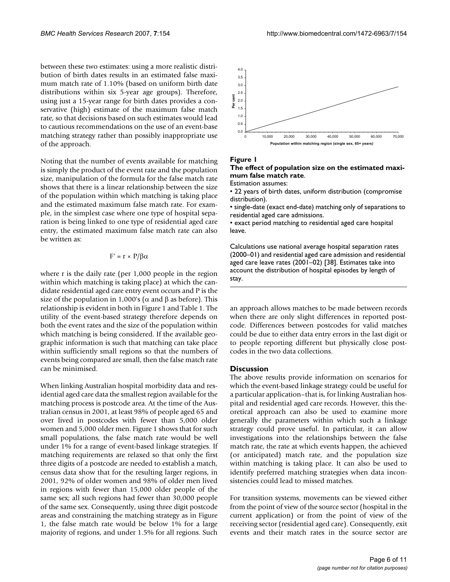between these two estimates: using a more realistic distribution of birth dates results in an estimated false maximum match rate of 1.10% (based on uniform birth date distributions within six 5-year age groups). Therefore, using just a 15-year range for birth dates provides a conservative (high) estimate of the maximum false match rate, so that decisions based on such estimates would lead to cautious recommendations on the use of an event-base matching strategy rather than possibly inappropriate use of the approach.

Noting that the number of events available for matching is simply the product of the event rate and the population size, manipulation of the formula for the false match rate shows that there is a linear relationship between the size of the population within which matching is taking place and the estimated maximum false match rate. For example, in the simplest case where one type of hospital separation is being linked to one type of residential aged care entry, the estimated maximum false match rate can also be written as:

# $F' = r \times P/\beta \alpha$

where r is the daily rate (per 1,000 people in the region within which matching is taking place) at which the candidate residential aged care entry event occurs and P is the size of the population in 1,000's ( $\alpha$  and  $\beta$  as before). This relationship is evident in both in Figure 1 and Table 1. The utility of the event-based strategy therefore depends on both the event rates and the size of the population within which matching is being considered. If the available geographic information is such that matching can take place within sufficiently small regions so that the numbers of events being compared are small, then the false match rate can be minimised.

When linking Australian hospital morbidity data and residential aged care data the smallest region available for the matching process is postcode area. At the time of the Australian census in 2001, at least 98% of people aged 65 and over lived in postcodes with fewer than 5,000 older women and 5,000 older men. Figure 1 shows that for such small populations, the false match rate would be well under 1% for a range of event-based linkage strategies. If matching requirements are relaxed so that only the first three digits of a postcode are needed to establish a match, census data show that for the resulting larger regions, in 2001, 92% of older women and 98% of older men lived in regions with fewer than 15,000 older people of the same sex; all such regions had fewer than 30,000 people of the same sex. Consequently, using three digit postcode areas and constraining the matching strategy as in Figure 1, the false match rate would be below 1% for a large majority of regions, and under 1.5% for all regions. Such



# Figure 1 **The effect of population size on the estimated maximum false match rate**.

Estimation assumes:

• 22 years of birth dates, uniform distribution (compromise distribution).

• single-date (exact end-date) matching only of separations to residential aged care admissions.

• exact period matching to residential aged care hospital leave.

Calculations use national average hospital separation rates (2000–01) and residential aged care admission and residential aged care leave rates (2001–02) [38]. Estimates take into account the distribution of hospital episodes by length of stay.

an approach allows matches to be made between records when there are only slight differences in reported postcode. Differences between postcodes for valid matches could be due to either data entry errors in the last digit or to people reporting different but physically close postcodes in the two data collections.

# **Discussion**

The above results provide information on scenarios for which the event-based linkage strategy could be useful for a particular application–that is, for linking Australian hospital and residential aged care records. However, this theoretical approach can also be used to examine more generally the parameters within which such a linkage strategy could prove useful. In particular, it can allow investigations into the relationships between the false match rate, the rate at which events happen, the achieved (or anticipated) match rate, and the population size within matching is taking place. It can also be used to identify preferred matching strategies when data inconsistencies could lead to missed matches.

For transition systems, movements can be viewed either from the point of view of the source sector (hospital in the current application) or from the point of view of the receiving sector (residential aged care). Consequently, exit events and their match rates in the source sector are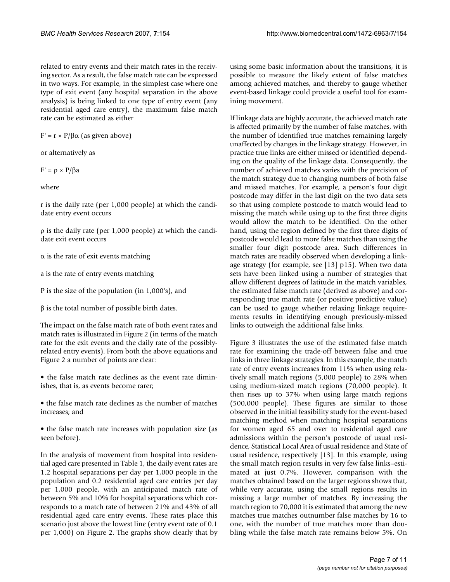related to entry events and their match rates in the receiving sector. As a result, the false match rate can be expressed in two ways. For example, in the simplest case where one type of exit event (any hospital separation in the above analysis) is being linked to one type of entry event (any residential aged care entry), the maximum false match rate can be estimated as either

 $F' = r \times P/\beta \alpha$  (as given above)

or alternatively as

F*'* = ρ × P/βa

where

r is the daily rate (per 1,000 people) at which the candidate entry event occurs

ρ is the daily rate (per 1,000 people) at which the candidate exit event occurs

 $\alpha$  is the rate of exit events matching

a is the rate of entry events matching

P is the size of the population (in 1,000's), and

β is the total number of possible birth dates.

The impact on the false match rate of both event rates and match rates is illustrated in Figure 2 (in terms of the match rate for the exit events and the daily rate of the possiblyrelated entry events). From both the above equations and Figure 2 a number of points are clear:

• the false match rate declines as the event rate diminishes, that is, as events become rarer;

• the false match rate declines as the number of matches increases; and

• the false match rate increases with population size (as seen before).

In the analysis of movement from hospital into residential aged care presented in Table 1, the daily event rates are 1.2 hospital separations per day per 1,000 people in the population and 0.2 residential aged care entries per day per 1,000 people, with an anticipated match rate of between 5% and 10% for hospital separations which corresponds to a match rate of between 21% and 43% of all residential aged care entry events. These rates place this scenario just above the lowest line (entry event rate of 0.1 per 1,000) on Figure 2. The graphs show clearly that by using some basic information about the transitions, it is possible to measure the likely extent of false matches among achieved matches, and thereby to gauge whether event-based linkage could provide a useful tool for examining movement.

If linkage data are highly accurate, the achieved match rate is affected primarily by the number of false matches, with the number of identified true matches remaining largely unaffected by changes in the linkage strategy. However, in practice true links are either missed or identified depending on the quality of the linkage data. Consequently, the number of achieved matches varies with the precision of the match strategy due to changing numbers of both false and missed matches. For example, a person's four digit postcode may differ in the last digit on the two data sets so that using complete postcode to match would lead to missing the match while using up to the first three digits would allow the match to be identified. On the other hand, using the region defined by the first three digits of postcode would lead to more false matches than using the smaller four digit postcode area. Such differences in match rates are readily observed when developing a linkage strategy (for example, see [13] p15). When two data sets have been linked using a number of strategies that allow different degrees of latitude in the match variables, the estimated false match rate (derived as above) and corresponding true match rate (or positive predictive value) can be used to gauge whether relaxing linkage requirements results in identifying enough previously-missed links to outweigh the additional false links.

Figure 3 illustrates the use of the estimated false match rate for examining the trade-off between false and true links in three linkage strategies. In this example, the match rate of entry events increases from 11% when using relatively small match regions (5,000 people) to 28% when using medium-sized match regions (70,000 people). It then rises up to 37% when using large match regions (500,000 people). These figures are similar to those observed in the initial feasibility study for the event-based matching method when matching hospital separations for women aged 65 and over to residential aged care admissions within the person's postcode of usual residence, Statistical Local Area of usual residence and State of usual residence, respectively [13]. In this example, using the small match region results in very few false links–estimated at just 0.7%. However, comparison with the matches obtained based on the larger regions shows that, while very accurate, using the small regions results in missing a large number of matches. By increasing the match region to 70,000 it is estimated that among the new matches true matches outnumber false matches by 16 to one, with the number of true matches more than doubling while the false match rate remains below 5%. On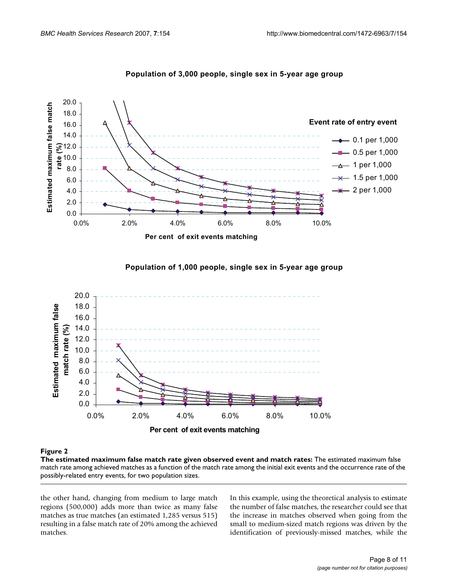

# Population of 3,000 people, single sex in 5-year age group

Population of 1,000 people, single sex in 5-year age group



# Figure 2

**The estimated maximum false match rate given observed event and match rates:** The estimated maximum false match rate among achieved matches as a function of the match rate among the initial exit events and the occurrence rate of the possibly-related entry events, for two population sizes.

the other hand, changing from medium to large match regions (500,000) adds more than twice as many false matches as true matches (an estimated 1,285 versus 515) resulting in a false match rate of 20% among the achieved matches.

In this example, using the theoretical analysis to estimate the number of false matches, the researcher could see that the increase in matches observed when going from the small to medium-sized match regions was driven by the identification of previously-missed matches, while the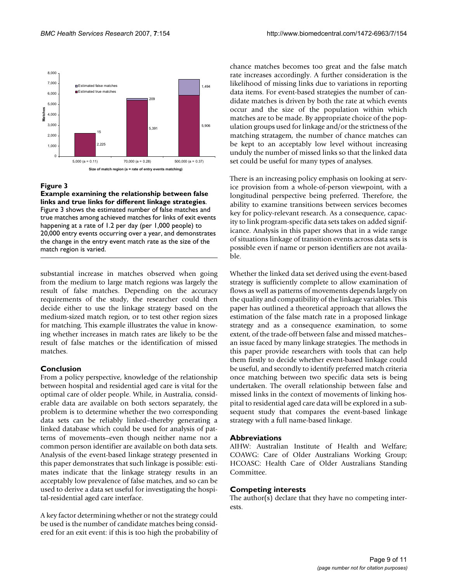

# **Figure 3**

**Example examining the relationship between false links and true links for different linkage strategies**. Figure 3 shows the estimated number of false matches and true matches among achieved matches for links of exit events happening at a rate of 1.2 per day (per 1,000 people) to 20,000 entry events occurring over a year, and demonstrates the change in the entry event match rate as the size of the match region is varied.

substantial increase in matches observed when going from the medium to large match regions was largely the result of false matches. Depending on the accuracy requirements of the study, the researcher could then decide either to use the linkage strategy based on the medium-sized match region, or to test other region sizes for matching. This example illustrates the value in knowing whether increases in match rates are likely to be the result of false matches or the identification of missed matches.

#### **Conclusion**

From a policy perspective, knowledge of the relationship between hospital and residential aged care is vital for the optimal care of older people. While, in Australia, considerable data are available on both sectors separately, the problem is to determine whether the two corresponding data sets can be reliably linked–thereby generating a linked database which could be used for analysis of patterns of movements–even though neither name nor a common person identifier are available on both data sets. Analysis of the event-based linkage strategy presented in this paper demonstrates that such linkage is possible: estimates indicate that the linkage strategy results in an acceptably low prevalence of false matches, and so can be used to derive a data set useful for investigating the hospital-residential aged care interface.

A key factor determining whether or not the strategy could be used is the number of candidate matches being considered for an exit event: if this is too high the probability of chance matches becomes too great and the false match rate increases accordingly. A further consideration is the likelihood of missing links due to variations in reporting data items. For event-based strategies the number of candidate matches is driven by both the rate at which events occur and the size of the population within which matches are to be made. By appropriate choice of the population groups used for linkage and/or the strictness of the matching stratagem, the number of chance matches can be kept to an acceptably low level without increasing unduly the number of missed links so that the linked data set could be useful for many types of analyses.

There is an increasing policy emphasis on looking at service provision from a whole-of-person viewpoint, with a longitudinal perspective being preferred. Therefore, the ability to examine transitions between services becomes key for policy-relevant research. As a consequence, capacity to link program-specific data sets takes on added significance. Analysis in this paper shows that in a wide range of situations linkage of transition events across data sets is possible even if name or person identifiers are not available.

Whether the linked data set derived using the event-based strategy is sufficiently complete to allow examination of flows as well as patterns of movements depends largely on the quality and compatibility of the linkage variables. This paper has outlined a theoretical approach that allows the estimation of the false match rate in a proposed linkage strategy and as a consequence examination, to some extent, of the trade-off between false and missed matches– an issue faced by many linkage strategies. The methods in this paper provide researchers with tools that can help them firstly to decide whether event-based linkage could be useful, and secondly to identify preferred match criteria once matching between two specific data sets is being undertaken. The overall relationship between false and missed links in the context of movements of linking hospital to residential aged care data will be explored in a subsequent study that compares the event-based linkage strategy with a full name-based linkage.

### **Abbreviations**

AIHW: Australian Institute of Health and Welfare; COAWG: Care of Older Australians Working Group; HCOASC: Health Care of Older Australians Standing Committee.

#### **Competing interests**

The author(s) declare that they have no competing interests.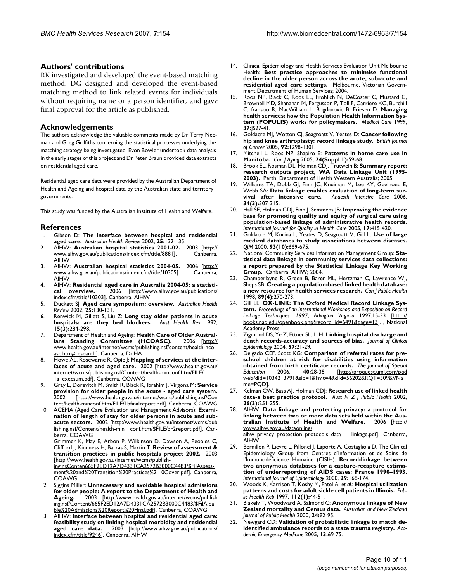# **Authors' contributions**

RK investigated and developed the event-based matching method. DG designed and developed the event-based matching method to link related events for individuals without requiring name or a person identifier, and gave final approval for the article as published.

# **Acknowledgements**

The authors acknowledge the valuable comments made by Dr Terry Neeman and Greg Griffiths concerning the statistical processes underlying the matching strategy being investigated. Evon Bowler undertook data analysis in the early stages of this project and Dr Peter Braun provided data extracts on residential aged care.

Residential aged care data were provided by the Australian Department of Health and Ageing and hospital data by the Australian state and territory governments.

This study was funded by the Australian Institute of Health and Welfare.

# **References**

- 1. Gibson D: **[The interface between hospital and residential](http://www.ncbi.nlm.nih.gov/entrez/query.fcgi?cmd=Retrieve&db=PubMed&dopt=Abstract&list_uids=12474509) [aged care.](http://www.ncbi.nlm.nih.gov/entrez/query.fcgi?cmd=Retrieve&db=PubMed&dopt=Abstract&list_uids=12474509)** *Australian Health Review* 2002, **25:**132-135.
- 2. AIHW: **Australian hospital statistics 2001-02.** 2003 [[http://](http://www.aihw.gov.au/publications/index.cfm/title/8881) [www.aihw.gov.au/publications/index.cfm/title/8881](http://www.aihw.gov.au/publications/index.cfm/title/8881)]. Canberra, AIHW
- 3. AIHW: **Australian hospital statistics 2004-05.** 2006 [[http://](http://www.aihw.gov.au/publications/index.cfm/title/10305) [www.aihw.gov.au/publications/index.cfm/title/10305](http://www.aihw.gov.au/publications/index.cfm/title/10305)]. AIHW
- 4. AIHW: **Residential aged care in Australia 2004-05: a statistical overview.** 2006 [[http://www.aihw.gov.au/publications/](http://www.aihw.gov.au/publications/index.cfm/title/10303) [index.cfm/title/10303](http://www.aihw.gov.au/publications/index.cfm/title/10303)]. Canberra, AIHW
- 5. Duckett SJ: **[Aged care symposium: overview.](http://www.ncbi.nlm.nih.gov/entrez/query.fcgi?cmd=Retrieve&db=PubMed&dopt=Abstract&list_uids=12474508)** *Australian Health Review* 2002, **25:**130-131.
- 6. Renwick M, Gillett S, Liu Z: **[Long stay older patients in acute](http://www.ncbi.nlm.nih.gov/entrez/query.fcgi?cmd=Retrieve&db=PubMed&dopt=Abstract&list_uids=10121777) [hospitals: are they bed blockers.](http://www.ncbi.nlm.nih.gov/entrez/query.fcgi?cmd=Retrieve&db=PubMed&dopt=Abstract&list_uids=10121777)** *Aust Health Rev* 1992, **15(3):**284-298.
- 7. Department of Health and Ageing: **Health Care of Older Austral-**<br> **ians Standing Committee (HCOASC).** 2006 [http:// ians Standing Committee (HCOASC). [www.health.gov.au/internet/wcms/publishing.nsf/content/health-hco](http://www.health.gov.au/internet/wcms/publishing.nsf/content/health-hco  asc.htm#research) [asc.htm#research](http://www.health.gov.au/internet/wcms/publishing.nsf/content/health-hco  asc.htm#research)]. Canberra, DoHA
- Howe AL, Rosewarne R, Opie J: Mapping of services at the inter**faces of acute and aged care.** 2002 [\[http://www.health.gov.au/](http://www.health.gov.au/internet/wcms/publishing.nsf/Content/health-minconf.htm/FILE/1a_execsum.pdf) [internet/wcms/publishing.nsf/Content/health-minconf.htm/FILE/](http://www.health.gov.au/internet/wcms/publishing.nsf/Content/health-minconf.htm/FILE/1a_execsum.pdf) la\_execsum.pdf]. Canberra, COAWG
- 9. Gray L, Dorevitch M, Smith R, Black K, Ibrahim J, Virgona M: **Service provision for older people in the acute - aged care system.** 2002 [[http://www.health.gov.au/internet/wcms/publishing.nsf/Con](http://www.health.gov.au/internet/wcms/publishing.nsf/Content/health-minconf.htm/FILE/1bfinalreport.pdf) [tent/health-minconf.htm/FILE/1bfinalreport.pdf](http://www.health.gov.au/internet/wcms/publishing.nsf/Content/health-minconf.htm/FILE/1bfinalreport.pdf)]. Canberra, COAWG
- 10. ACEMA (Aged Care Evaluation and Management Advisors): **Examination of length of stay for older persons in acute and subacute sectors.** 2002 [\[http://www.health.gov.au/internet/wcms/pub](http://www.health.gov.au/internet/wcms/publishing.nsf/Content/health-min  conf.htm/$FILE/pr2report.pdf) [lishing.nsf/Content/health-min conf.htm/\\$FILE/pr2report.pdf](http://www.health.gov.au/internet/wcms/publishing.nsf/Content/health-min  conf.htm/$FILE/pr2report.pdf)]. Canberra, COAWG
- 11. Grimmer K, May E, Arbon P, Wilkinson D, Dawson A, Peoples C, Clifford J, Kindness H, Barras S, Martin T: **Review of assessment & transition practices in public hospitals project 2002.** 2003 [[http://www.health.gov.au/internet/wcms/publish](http://www.health.gov.au/internet/wcms/publishing.nsf/Content/665F2ED12A7D4331CA2572B3000C4483/$File/Assessment%20and%20Transition%20Practices%2  0Cover.pdf)[ing.nsConten665F2ED12A7D4331CA2572B3000C4483/\\$FilAssess](http://www.health.gov.au/internet/wcms/publishing.nsf/Content/665F2ED12A7D4331CA2572B3000C4483/$File/Assessment%20and%20Transition%20Practices%2  0Cover.pdf)[ment%20and%20Transition%20Practices%2 0Cover.pdf](http://www.health.gov.au/internet/wcms/publishing.nsf/Content/665F2ED12A7D4331CA2572B3000C4483/$File/Assessment%20and%20Transition%20Practices%2  0Cover.pdf)]. Canberra, COAWG
- 12. Siggins Miller: **Unnecessary and avoidable hospital admissions for older people: A report to the Department of Health and Ageing.** 2003 [[http://www.health.gov.au/internet/wcms/publish](http://www.health.gov.au/internet/wcms/publishing.nsf/Content/665F2ED12A7D4331CA2572B3000C4483/$File/Avoidable%20Admissions%20Report%20Final.pdf) [ing.nsf/Content/665F2ED12A7D4331CA2572B3000C4483/\\$FilAida](http://www.health.gov.au/internet/wcms/publishing.nsf/Content/665F2ED12A7D4331CA2572B3000C4483/$File/Avoidable%20Admissions%20Report%20Final.pdf) [ble%20Admissions%20Report%20Final.pdf](http://www.health.gov.au/internet/wcms/publishing.nsf/Content/665F2ED12A7D4331CA2572B3000C4483/$File/Avoidable%20Admissions%20Report%20Final.pdf)]. Canberra, COAWG
- 13. AIHW: **Interface between hospital and residential aged care: feasibility study on linking hospital morbidity and residential aged care data.** 2003 [[http://www.aihw.gov.au/publications/](http://www.aihw.gov.au/publications/index.cfm/title/9246) [index.cfm/title/9246](http://www.aihw.gov.au/publications/index.cfm/title/9246)]. Canberra, AIHW
- 14. Clinical Epidemiology and Health Services Evaluation Unit Melbourne Health: **Best practice approaches to minimise functional decline in the older person across the acute, sub-acute and residential aged care settings.** Melbourne, Victorian Government Department of Human Services; 2004.
- 15. Roos NP, Black C, Roos LL, Frohlich N, DeCoster C, Mustard C, Brownell MD, Shanahan M, Fergusson P, Toll F, Carriere KC, Burchill C, fransoo R, MacWilliam L, Bogdanovic B, Friesen D: **[Managing](http://www.ncbi.nlm.nih.gov/entrez/query.fcgi?cmd=Retrieve&db=PubMed&dopt=Abstract&list_uids=10409014) [health services: how the Population Health Information Sys](http://www.ncbi.nlm.nih.gov/entrez/query.fcgi?cmd=Retrieve&db=PubMed&dopt=Abstract&list_uids=10409014)[tem \(POPULIS\) works for policymakers.](http://www.ncbi.nlm.nih.gov/entrez/query.fcgi?cmd=Retrieve&db=PubMed&dopt=Abstract&list_uids=10409014)** *Medical Care* 1999, **37:**JS27-41.
- 16. Goldacre MJ, Wotton CJ, Seagroatt V, Yeates D: **[Cancer following](http://www.ncbi.nlm.nih.gov/entrez/query.fcgi?cmd=Retrieve&db=PubMed&dopt=Abstract&list_uids=15812477) [hip and knee arthroplasty: record linkage study.](http://www.ncbi.nlm.nih.gov/entrez/query.fcgi?cmd=Retrieve&db=PubMed&dopt=Abstract&list_uids=15812477)** *British Journal of Cancer* 2005, **92:**1298-1301.
- 17. Mitchell L, Roos NP, Shapiro E: **[Patterns in home care use in](http://www.ncbi.nlm.nih.gov/entrez/query.fcgi?cmd=Retrieve&db=PubMed&dopt=Abstract&list_uids=16080138) [Manitoba.](http://www.ncbi.nlm.nih.gov/entrez/query.fcgi?cmd=Retrieve&db=PubMed&dopt=Abstract&list_uids=16080138)** *Can J Aging* 2005, **24(Suppl 1):**59-68.
- 18. Brook EL, Rosman DL, Holman CDJ, Trutwein B: **Summary report: research outputs project, WA Data Linkage Unit (1995- 2003).** Perth, Department of Health Western Australia; 2005.
- 19. Williams TA, Dobb GJ, Finn JC, Knuiman M, Lee KY, Geelhoed E, Webb SA: **[Data linkage enables evaluation of long-term sur](http://www.ncbi.nlm.nih.gov/entrez/query.fcgi?cmd=Retrieve&db=PubMed&dopt=Abstract&list_uids=16802482)[vival after intensive care.](http://www.ncbi.nlm.nih.gov/entrez/query.fcgi?cmd=Retrieve&db=PubMed&dopt=Abstract&list_uids=16802482)** *Anaesth Intensive Care* 2006, **34(3):**307-315.
- 20. Hall SE, Holman CDJ, Finn J, Semmens JB: **[Improving the evidence](http://www.ncbi.nlm.nih.gov/entrez/query.fcgi?cmd=Retrieve&db=PubMed&dopt=Abstract&list_uids=15883126) [base for promoting quality and equity of surgical care using](http://www.ncbi.nlm.nih.gov/entrez/query.fcgi?cmd=Retrieve&db=PubMed&dopt=Abstract&list_uids=15883126) population-based linkage of administrative health records.** *International Journal for Quality in Health Care* 2005, **17:**415-420.
- 21. Goldacre M, Kurina L, Yeates D, Seagroatt V, Gill L: **[Use of large](http://www.ncbi.nlm.nih.gov/entrez/query.fcgi?cmd=Retrieve&db=PubMed&dopt=Abstract&list_uids=11029477) [medical databases to study associations between diseases.](http://www.ncbi.nlm.nih.gov/entrez/query.fcgi?cmd=Retrieve&db=PubMed&dopt=Abstract&list_uids=11029477)** *QJM* 2000, **93(10):**669-675.
- National Community Services Information Management Group: Sta**tistical data linkage in community services data collections: a report prepared by the Statistical Linkage Key Working Group.** Canberra, AIHW; 2004.
- 23. Chamberlayne R, Green B, Barer ML, Hertzman C, Lawrence WJ, Sheps SB: **[Creating a population-based linked health database:](http://www.ncbi.nlm.nih.gov/entrez/query.fcgi?cmd=Retrieve&db=PubMed&dopt=Abstract&list_uids=9735524) [a new resource for health services research.](http://www.ncbi.nlm.nih.gov/entrez/query.fcgi?cmd=Retrieve&db=PubMed&dopt=Abstract&list_uids=9735524)** *Can J Public Health* 1998, **89(4):**270-273.
- 24. Gill LE: **OX-LINK: The Oxford Medical Record Linkage System.** *Proceedings of an International Workshop and Exposition on Record Linkage Techniques: 1997; Arlington Virginia* 1997:15-33 [\[http://](http://books.nap.edu/openbook.php?record_id=6491&page=13) [books.nap.edu/openbook.php?record\\_id=6491&page=13](http://books.nap.edu/openbook.php?record_id=6491&page=13)]. , National Academy Press
- 25. Zigmond DS, Ye Z, Ettner SL, Li H: **[Linking hospital discharge and](http://www.ncbi.nlm.nih.gov/entrez/query.fcgi?cmd=Retrieve&db=PubMed&dopt=Abstract&list_uids=15019007) [death records-accuracy and sources of bias.](http://www.ncbi.nlm.nih.gov/entrez/query.fcgi?cmd=Retrieve&db=PubMed&dopt=Abstract&list_uids=15019007)** *Journal of Clinical Epidemiology* 2004, **57:**21-29.
- 26. Delgado CEF, Scott KG: **Comparison of referral rates for preschool children at risk for disabilities using information obtained from birth certificate records.** *The Journal of Special Education* 2006, **40:**28-38 [[http://proquest.umi.com/pqd](http://proquest.umi.com/pqdweb?did=1034213791&sid=1&Fmt=4&clientId=56202&RQT=309&VName=PQD) [web?did=1034213791&sid=1&Fmt=4&clid=56202&RQT=309&VNa](http://proquest.umi.com/pqdweb?did=1034213791&sid=1&Fmt=4&clientId=56202&RQT=309&VName=PQD) [me=PQD](http://proquest.umi.com/pqdweb?did=1034213791&sid=1&Fmt=4&clientId=56202&RQT=309&VName=PQD)].
- 27. Kelman CW, Bass AJ, Holman CDJ: **[Research use of linked health](http://www.ncbi.nlm.nih.gov/entrez/query.fcgi?cmd=Retrieve&db=PubMed&dopt=Abstract&list_uids=12141621) [data-a best practice protocol.](http://www.ncbi.nlm.nih.gov/entrez/query.fcgi?cmd=Retrieve&db=PubMed&dopt=Abstract&list_uids=12141621)** *Aust N Z J Public Health* 2002, **26(3):**251-255.
- 28. AIHW: **Data linkage and protecting privacy: a protocol for linking between two or more data sets held within the Aus**tralian Institute of Health and Welfare. [www.aihw.gov.au/dataonline/](http://www.aihw.gov.au/dataonline/aihw_privacy_protection_protocols_data  _linkage.pdf)

aihw\_privacy\_protection\_protocols\_data \_\_linkage.pdf]. Canberra, **AIHW** 

- 29. Bernillon P, Lievre L, Pillonel J, Laporte A, Costagliola D, The Clinical Epidemiology Group from Centres d'Information et de Soins de l'Immunodéficience Humaine (CISIH): **[Record-linkage between](http://www.ncbi.nlm.nih.gov/entrez/query.fcgi?cmd=Retrieve&db=PubMed&dopt=Abstract&list_uids=10750619) [two anonymous databases for a capture-recapture estima](http://www.ncbi.nlm.nih.gov/entrez/query.fcgi?cmd=Retrieve&db=PubMed&dopt=Abstract&list_uids=10750619)tion of underreporting of AIDS cases: France 1990–1993.** *International Journal of Epidemiology* 2000, **29:**168-174.
- 30. Woods K, Karrison T, Koshy M, Patel A, *et al.*: **[Hospital utilization](http://www.ncbi.nlm.nih.gov/entrez/query.fcgi?cmd=Retrieve&db=PubMed&dopt=Abstract&list_uids=9018288) [patterns and costs for adult sickle cell patients in Illinois.](http://www.ncbi.nlm.nih.gov/entrez/query.fcgi?cmd=Retrieve&db=PubMed&dopt=Abstract&list_uids=9018288)** *Public Health Rep* 1997, **112(1):**44-51.
- 31. Blakely T, Woodward A, Salmond C: **Anonymous linkage of New Zealand mortality and Census data.** *Australian and New Zealand Journal of Public Health* 2000, **24:**92-95.
- 32. Newgard CD: **[Validation of probabilistic linkage to match de](http://www.ncbi.nlm.nih.gov/entrez/query.fcgi?cmd=Retrieve&db=PubMed&dopt=Abstract&list_uids=16365326)[identified ambulance records to a state trauma registry.](http://www.ncbi.nlm.nih.gov/entrez/query.fcgi?cmd=Retrieve&db=PubMed&dopt=Abstract&list_uids=16365326)** *Academic Emergency Medicine* 2005, **13:**69-75.